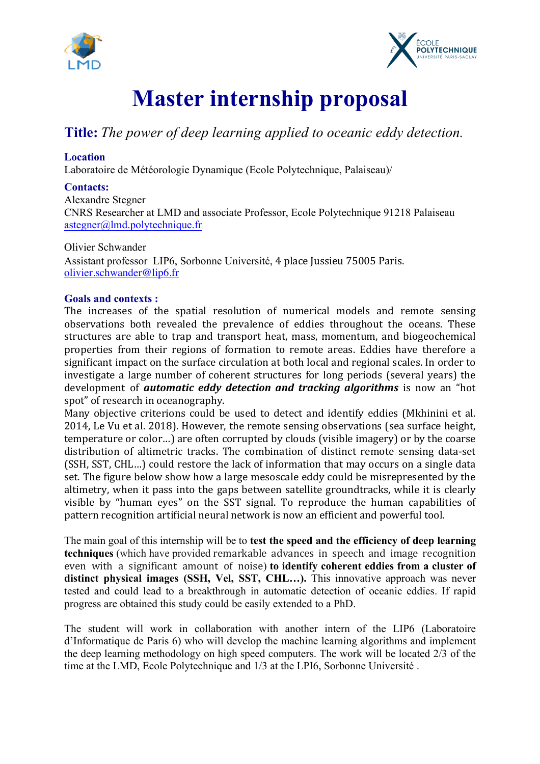



# **Master internship proposal**

# **Title:** *The power of deep learning applied to oceanic eddy detection.*

# **Location**

Laboratoire de Météorologie Dynamique (Ecole Polytechnique, Palaiseau)/

## **Contacts:**

Alexandre Stegner CNRS Researcher at LMD and associate Professor, Ecole Polytechnique 91218 Palaiseau astegner@lmd.polytechnique.fr

Olivier Schwander Assistant professor LIP6, Sorbonne Université, 4 place Jussieu 75005 Paris. olivier.schwander@lip6.fr

### **Goals and contexts :**

The increases of the spatial resolution of numerical models and remote sensing observations both revealed the prevalence of eddies throughout the oceans. These structures are able to trap and transport heat, mass, momentum, and biogeochemical properties from their regions of formation to remote areas. Eddies have therefore a significant impact on the surface circulation at both local and regional scales. In order to investigate a large number of coherent structures for long periods (several years) the development of *automatic eddy detection and tracking algorithms* is now an "hot spot" of research in oceanography.

Many objective criterions could be used to detect and identify eddies (Mkhinini et al. 2014, Le Vu et al. 2018). However, the remote sensing observations (sea surface height, temperature or color...) are often corrupted by clouds (visible imagery) or by the coarse distribution of altimetric tracks. The combination of distinct remote sensing data-set (SSH, SST, CHL...) could restore the lack of information that may occurs on a single data set. The figure below show how a large mesoscale eddy could be misrepresented by the altimetry, when it pass into the gaps between satellite groundtracks, while it is clearly visible by "human eyes" on the SST signal. To reproduce the human capabilities of pattern recognition artificial neural network is now an efficient and powerful tool.

The main goal of this internship will be to **test the speed and the efficiency of deep learning techniques** (which have provided remarkable advances in speech and image recognition even with a significant amount of noise) **to identify coherent eddies from a cluster of distinct physical images (SSH, Vel, SST, CHL…).** This innovative approach was never tested and could lead to a breakthrough in automatic detection of oceanic eddies. If rapid progress are obtained this study could be easily extended to a PhD.

The student will work in collaboration with another intern of the LIP6 (Laboratoire d'Informatique de Paris 6) who will develop the machine learning algorithms and implement the deep learning methodology on high speed computers. The work will be located 2/3 of the time at the LMD, Ecole Polytechnique and 1/3 at the LPI6, Sorbonne Université .